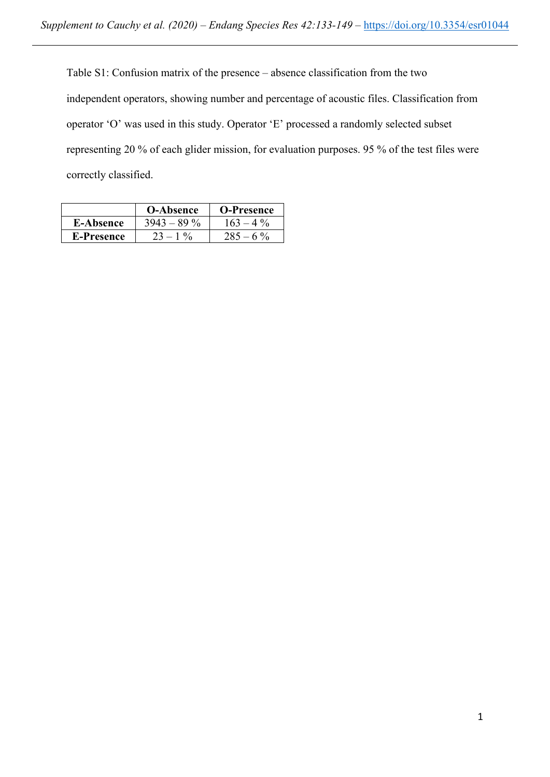Table S1: Confusion matrix of the presence – absence classification from the two independent operators, showing number and percentage of acoustic files. Classification from operator 'O' was used in this study. Operator 'E' processed a randomly selected subset representing 20 % of each glider mission, for evaluation purposes. 95 % of the test files were correctly classified.

|                  | <b>O-Absence</b> | <b>O-Presence</b>     |
|------------------|------------------|-----------------------|
| <b>E-Absence</b> | $3943 - 89\%$    | $4\frac{0}{6}$<br>163 |
| E-Presence       | $1 \frac{0}{6}$  | $-60/$                |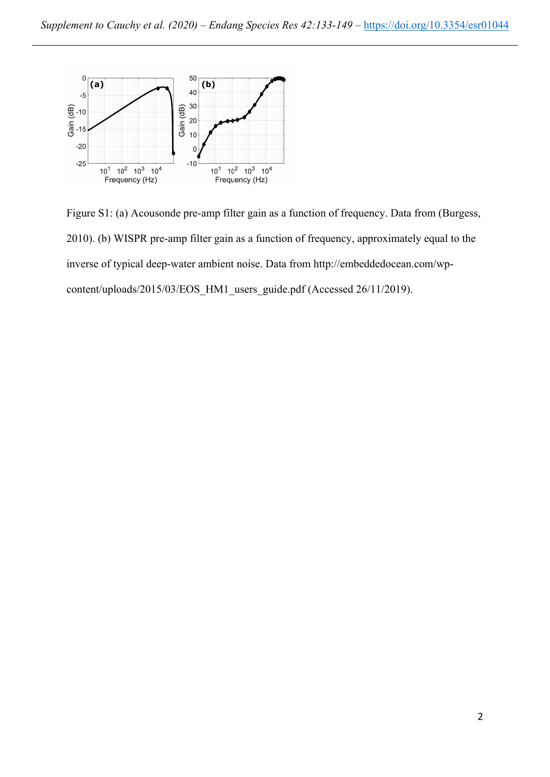

Figure S1: (a) Acousonde pre-amp filter gain as a function of frequency. Data from (Burgess, 2010). (b) WISPR pre-amp filter gain as a function of frequency, approximately equal to the inverse of typical deep-water ambient noise. Data from http://embeddedocean.com/wpcontent/uploads/2015/03/EOS\_HM1\_users\_guide.pdf (Accessed 26/11/2019).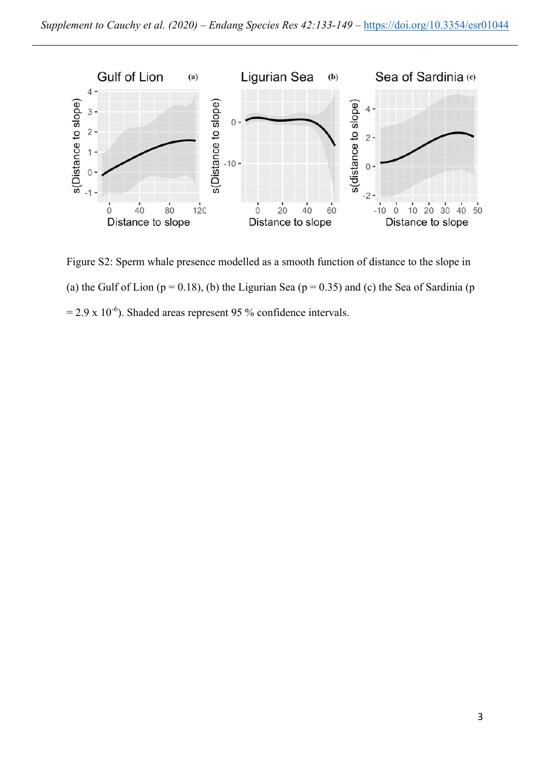

Figure S2: Sperm whale presence modelled as a smooth function of distance to the slope in (a) the Gulf of Lion ( $p = 0.18$ ), (b) the Ligurian Sea ( $p = 0.35$ ) and (c) the Sea of Sardinia (p  $= 2.9 \times 10^{-6}$ ). Shaded areas represent 95 % confidence intervals.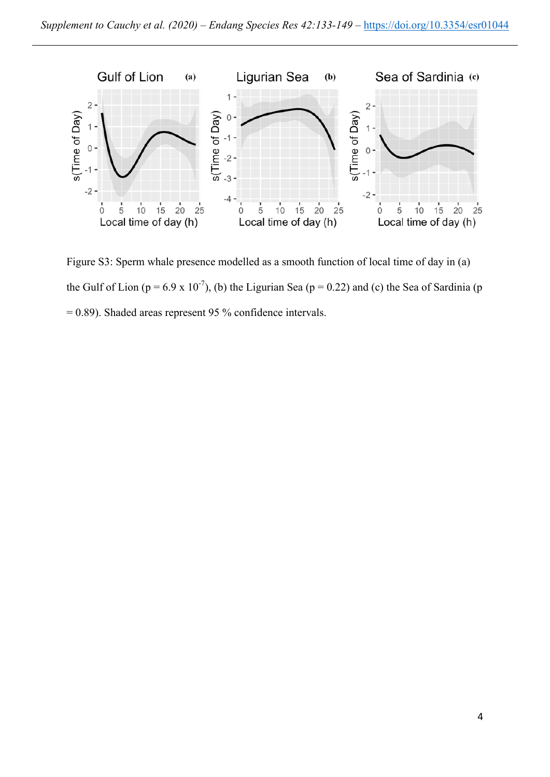

Figure S3: Sperm whale presence modelled as a smooth function of local time of day in (a) the Gulf of Lion ( $p = 6.9 \times 10^{-7}$ ), (b) the Ligurian Sea ( $p = 0.22$ ) and (c) the Sea of Sardinia (p = 0.89). Shaded areas represent 95 % confidence intervals.